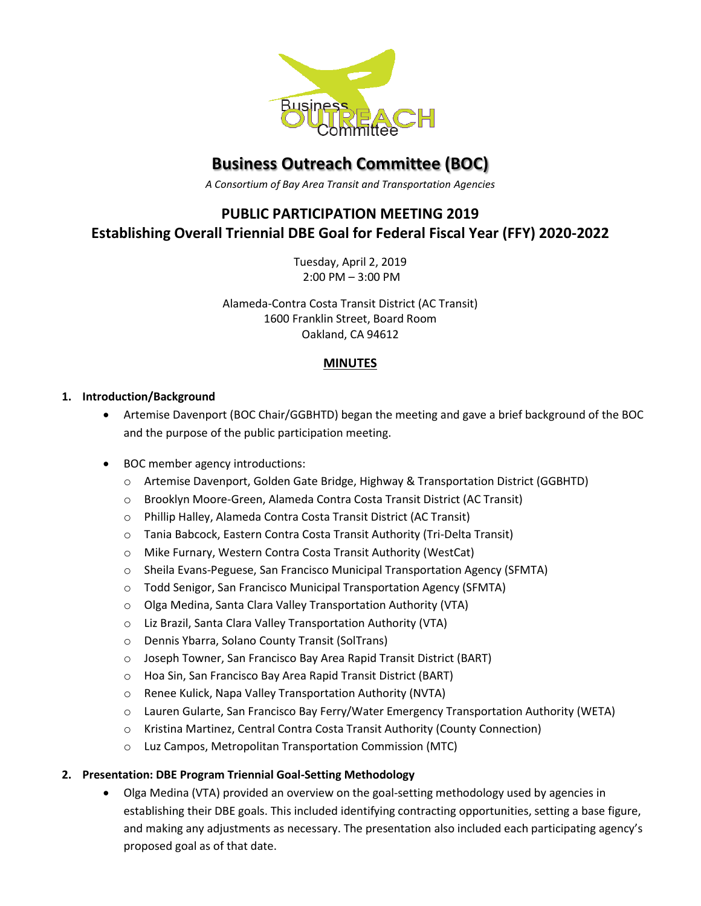

# **Business Outreach Committee (BOC)**

*A Consortium of Bay Area Transit and Transportation Agencies*

# **PUBLIC PARTICIPATION MEETING 2019 Establishing Overall Triennial DBE Goal for Federal Fiscal Year (FFY) 2020-2022**

Tuesday, April 2, 2019 2:00 PM – 3:00 PM

Alameda-Contra Costa Transit District (AC Transit) 1600 Franklin Street, Board Room Oakland, CA 94612

## **MINUTES**

#### **1. Introduction/Background**

- Artemise Davenport (BOC Chair/GGBHTD) began the meeting and gave a brief background of the BOC and the purpose of the public participation meeting.
- BOC member agency introductions:
	- o Artemise Davenport, Golden Gate Bridge, Highway & Transportation District (GGBHTD)
	- o Brooklyn Moore-Green, Alameda Contra Costa Transit District (AC Transit)
	- o Phillip Halley, Alameda Contra Costa Transit District (AC Transit)
	- o Tania Babcock, Eastern Contra Costa Transit Authority (Tri-Delta Transit)
	- o Mike Furnary, Western Contra Costa Transit Authority (WestCat)
	- o Sheila Evans-Peguese, San Francisco Municipal Transportation Agency (SFMTA)
	- o Todd Senigor, San Francisco Municipal Transportation Agency (SFMTA)
	- o Olga Medina, Santa Clara Valley Transportation Authority (VTA)
	- o Liz Brazil, Santa Clara Valley Transportation Authority (VTA)
	- o Dennis Ybarra, Solano County Transit (SolTrans)
	- o Joseph Towner, San Francisco Bay Area Rapid Transit District (BART)
	- o Hoa Sin, San Francisco Bay Area Rapid Transit District (BART)
	- o Renee Kulick, Napa Valley Transportation Authority (NVTA)
	- o Lauren Gularte, San Francisco Bay Ferry/Water Emergency Transportation Authority (WETA)
	- o Kristina Martinez, Central Contra Costa Transit Authority (County Connection)
	- o Luz Campos, Metropolitan Transportation Commission (MTC)

#### **2. Presentation: DBE Program Triennial Goal-Setting Methodology**

 Olga Medina (VTA) provided an overview on the goal-setting methodology used by agencies in establishing their DBE goals. This included identifying contracting opportunities, setting a base figure, and making any adjustments as necessary. The presentation also included each participating agency's proposed goal as of that date.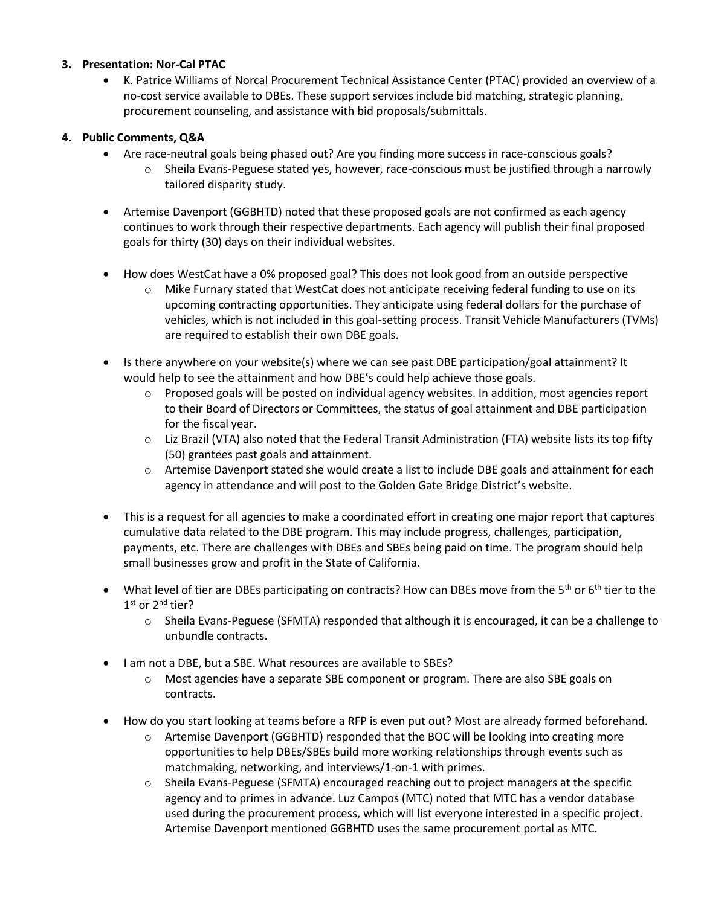#### **3. Presentation: Nor-Cal PTAC**

 K. Patrice Williams of Norcal Procurement Technical Assistance Center (PTAC) provided an overview of a no-cost service available to DBEs. These support services include bid matching, strategic planning, procurement counseling, and assistance with bid proposals/submittals.

#### **4. Public Comments, Q&A**

- Are race-neutral goals being phased out? Are you finding more success in race-conscious goals?
	- o Sheila Evans-Peguese stated yes, however, race-conscious must be justified through a narrowly tailored disparity study.
- Artemise Davenport (GGBHTD) noted that these proposed goals are not confirmed as each agency continues to work through their respective departments. Each agency will publish their final proposed goals for thirty (30) days on their individual websites.
- How does WestCat have a 0% proposed goal? This does not look good from an outside perspective
	- o Mike Furnary stated that WestCat does not anticipate receiving federal funding to use on its upcoming contracting opportunities. They anticipate using federal dollars for the purchase of vehicles, which is not included in this goal-setting process. Transit Vehicle Manufacturers (TVMs) are required to establish their own DBE goals.
- Is there anywhere on your website(s) where we can see past DBE participation/goal attainment? It would help to see the attainment and how DBE's could help achieve those goals.
	- o Proposed goals will be posted on individual agency websites. In addition, most agencies report to their Board of Directors or Committees, the status of goal attainment and DBE participation for the fiscal year.
	- o Liz Brazil (VTA) also noted that the Federal Transit Administration (FTA) website lists its top fifty (50) grantees past goals and attainment.
	- o Artemise Davenport stated she would create a list to include DBE goals and attainment for each agency in attendance and will post to the Golden Gate Bridge District's website.
- This is a request for all agencies to make a coordinated effort in creating one major report that captures cumulative data related to the DBE program. This may include progress, challenges, participation, payments, etc. There are challenges with DBEs and SBEs being paid on time. The program should help small businesses grow and profit in the State of California.
- What level of tier are DBEs participating on contracts? How can DBEs move from the 5<sup>th</sup> or 6<sup>th</sup> tier to the 1<sup>st</sup> or 2<sup>nd</sup> tier?
	- o Sheila Evans-Peguese (SFMTA) responded that although it is encouraged, it can be a challenge to unbundle contracts.
- I am not a DBE, but a SBE. What resources are available to SBEs?
	- o Most agencies have a separate SBE component or program. There are also SBE goals on contracts.
- How do you start looking at teams before a RFP is even put out? Most are already formed beforehand.
	- o Artemise Davenport (GGBHTD) responded that the BOC will be looking into creating more opportunities to help DBEs/SBEs build more working relationships through events such as matchmaking, networking, and interviews/1-on-1 with primes.
	- o Sheila Evans-Peguese (SFMTA) encouraged reaching out to project managers at the specific agency and to primes in advance. Luz Campos (MTC) noted that MTC has a vendor database used during the procurement process, which will list everyone interested in a specific project. Artemise Davenport mentioned GGBHTD uses the same procurement portal as MTC.